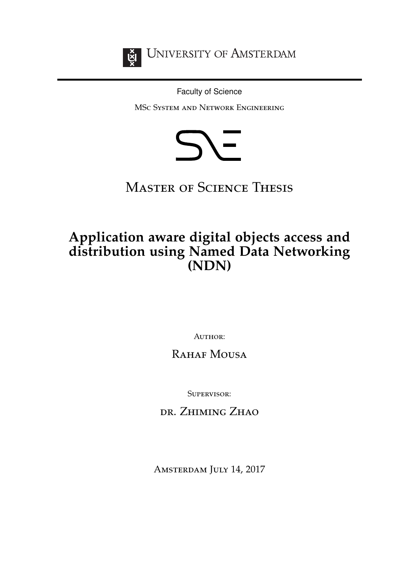<span id="page-0-0"></span>

**UNIVERSITY OF AMSTERDAM** 

Faculty of Science

MSc System and Network Engineering



**MASTER OF SCIENCE THESIS** 

# **Application aware digital objects access and distribution using Named Data Networking (NDN)**

AUTHOR:

# RAHAF MOUSA

Supervisor:

dr. Zhiming Zhao

AMSTERDAM JULY 14, 2017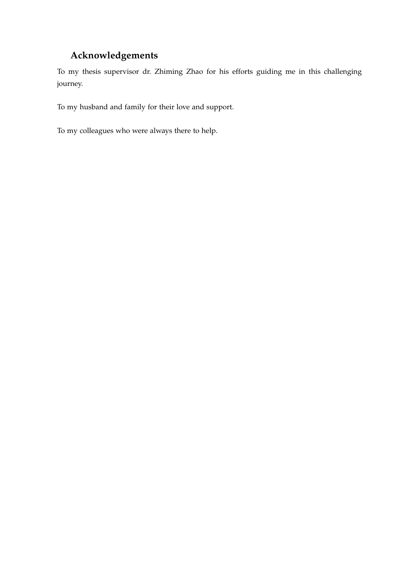### **Acknowledgements**

To my thesis supervisor dr. Zhiming Zhao for his efforts guiding me in this challenging journey.

To my husband and family for their love and support.

To my colleagues who were always there to help.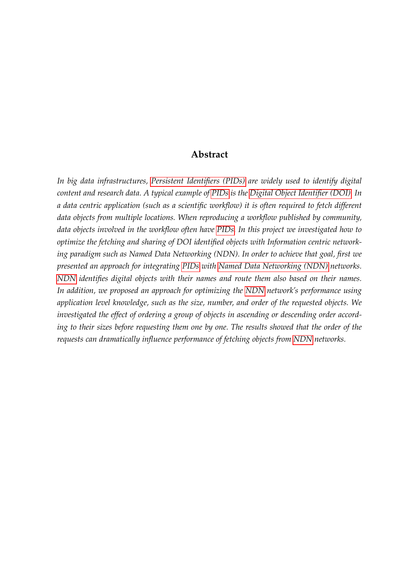### **Abstract**

*In big data infrastructures, [Persistent Identifiers \(PIDs\)](#page-5-0) are widely used to identify digital content and research data. A typical example of [PIDs](#page-5-0) is the [Digital Object Identifier \(DOI\).](#page-5-1) In a data centric application (such as a scientific workflow) it is often required to fetch different data objects from multiple locations. When reproducing a workflow published by community, data objects involved in the workflow often have [PIDs.](#page-5-0) In this project we investigated how to optimize the fetching and sharing of DOI identified objects with Information centric networking paradigm such as Named Data Networking (NDN). In order to achieve that goal, first we presented an approach for integrating [PIDs](#page-5-0) with [Named Data Networking \(NDN\)](#page-5-2) networks. [NDN](#page-5-2) identifies digital objects with their names and route them also based on their names. In addition, we proposed an approach for optimizing the [NDN](#page-5-2) network's performance using application level knowledge, such as the size, number, and order of the requested objects. We investigated the effect of ordering a group of objects in ascending or descending order according to their sizes before requesting them one by one. The results showed that the order of the requests can dramatically influence performance of fetching objects from [NDN](#page-5-2) networks.*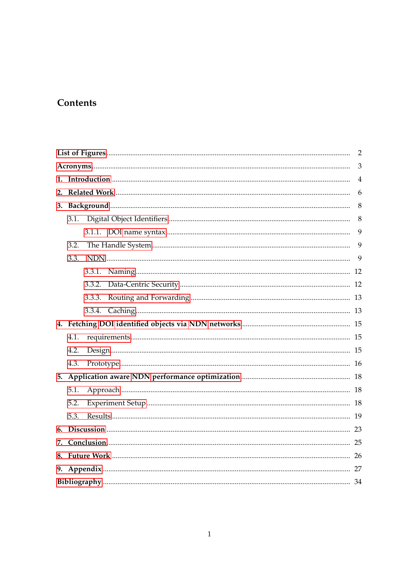# Contents

|    |      |        | $\overline{2}$ |  |  |  |  |  |  |
|----|------|--------|----------------|--|--|--|--|--|--|
|    |      |        |                |  |  |  |  |  |  |
|    |      |        | $\overline{4}$ |  |  |  |  |  |  |
|    |      |        | 6              |  |  |  |  |  |  |
|    |      |        | 8              |  |  |  |  |  |  |
|    | 3.1. |        | 8              |  |  |  |  |  |  |
|    |      |        | 9              |  |  |  |  |  |  |
|    | 3.2. |        | 9              |  |  |  |  |  |  |
|    | 3.3. |        | 9              |  |  |  |  |  |  |
|    |      |        |                |  |  |  |  |  |  |
|    |      | 3.3.2. |                |  |  |  |  |  |  |
|    |      |        |                |  |  |  |  |  |  |
|    |      |        |                |  |  |  |  |  |  |
|    |      |        |                |  |  |  |  |  |  |
|    | 4.1. |        |                |  |  |  |  |  |  |
|    | 4.2. |        |                |  |  |  |  |  |  |
|    | 4.3. |        |                |  |  |  |  |  |  |
|    |      |        |                |  |  |  |  |  |  |
|    | 5.1. |        |                |  |  |  |  |  |  |
|    | 5.2. |        |                |  |  |  |  |  |  |
|    | 5.3. |        |                |  |  |  |  |  |  |
|    |      |        |                |  |  |  |  |  |  |
| 7. |      |        |                |  |  |  |  |  |  |
|    |      |        |                |  |  |  |  |  |  |
|    |      |        |                |  |  |  |  |  |  |
|    |      |        |                |  |  |  |  |  |  |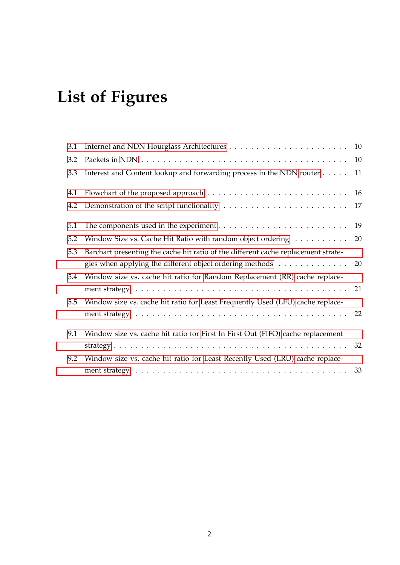# <span id="page-4-1"></span>**List of Figures**

<span id="page-4-0"></span>

| 3.1 |                                                                                    |    |
|-----|------------------------------------------------------------------------------------|----|
| 3.2 |                                                                                    | 10 |
| 3.3 | Interest and Content lookup and forwarding process in the NDN router               | 11 |
| 4.1 |                                                                                    | 16 |
| 4.2 |                                                                                    |    |
| 5.1 |                                                                                    |    |
| 5.2 | Window Size vs. Cache Hit Ratio with random object ordering 20                     |    |
| 5.3 | Barchart presenting the cache hit ratio of the different cache replacement strate- |    |
|     | gies when applying the different object ordering methods 20                        |    |
| 5.4 | Window size vs. cache hit ratio for Random Replacement (RR) cache replace-         |    |
|     |                                                                                    |    |
| 5.5 | Window size vs. cache hit ratio for Least Frequently Used (LFU) cache replace-     |    |
|     |                                                                                    |    |
| 9.1 | Window size vs. cache hit ratio for First In First Out (FIFO) cache replacement    |    |
|     |                                                                                    |    |
| 9.2 | Window size vs. cache hit ratio for Least Recently Used (LRU) cache replace-       |    |
|     |                                                                                    |    |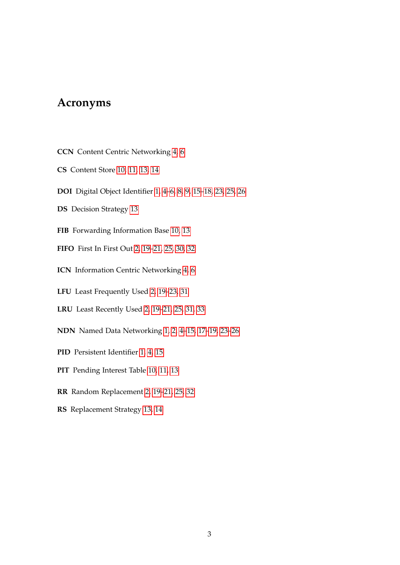### <span id="page-5-3"></span>**Acronyms**

- <span id="page-5-9"></span>**CCN** Content Centric Networking [4,](#page-6-1) [6](#page-8-1)
- <span id="page-5-10"></span>**CS** Content Store [10,](#page-12-2) [11,](#page-13-1) [13,](#page-15-2) [14](#page-16-0)
- <span id="page-5-1"></span>**DOI** Digital Object Identifier [1,](#page-0-0) [4](#page-6-1)[–6,](#page-8-1) [8,](#page-10-2) [9,](#page-11-3) [15](#page-17-3)[–18,](#page-20-3) [23,](#page-25-1) [25,](#page-27-1) [26](#page-28-1)
- <span id="page-5-13"></span>**DS** Decision Strategy [13](#page-15-2)
- <span id="page-5-12"></span>**FIB** Forwarding Information Base [10,](#page-12-2) [13](#page-15-2)
- <span id="page-5-6"></span>**FIFO** First In First Out [2,](#page-4-1) [19–](#page-21-2)[21,](#page-23-1) [25,](#page-27-1) [30,](#page-32-0) [32](#page-34-1)
- <span id="page-5-8"></span>**ICN** Information Centric Networking [4,](#page-6-1) [6](#page-8-1)
- <span id="page-5-5"></span>**LFU** Least Frequently Used [2,](#page-4-1) [19–](#page-21-2)[23,](#page-25-1) [31](#page-33-0)
- <span id="page-5-7"></span>**LRU** Least Recently Used [2,](#page-4-1) [19–](#page-21-2)[21,](#page-23-1) [25,](#page-27-1) [31,](#page-33-0) [33](#page-35-1)
- <span id="page-5-2"></span>**NDN** Named Data Networking [1,](#page-0-0) [2,](#page-4-1) [4](#page-6-1)[–15,](#page-17-3) [17](#page-19-1)[–19,](#page-21-2) [23–](#page-25-1)[26](#page-28-1)
- <span id="page-5-0"></span>**PID** Persistent Identifier [1,](#page-0-0) [4,](#page-6-1) [15](#page-17-3)
- <span id="page-5-11"></span>**PIT** Pending Interest Table [10,](#page-12-2) [11,](#page-13-1) [13](#page-15-2)
- <span id="page-5-4"></span>**RR** Random Replacement [2,](#page-4-1) [19–](#page-21-2)[21,](#page-23-1) [25,](#page-27-1) [32](#page-34-1)
- <span id="page-5-14"></span>**RS** Replacement Strategy [13,](#page-15-2) [14](#page-16-0)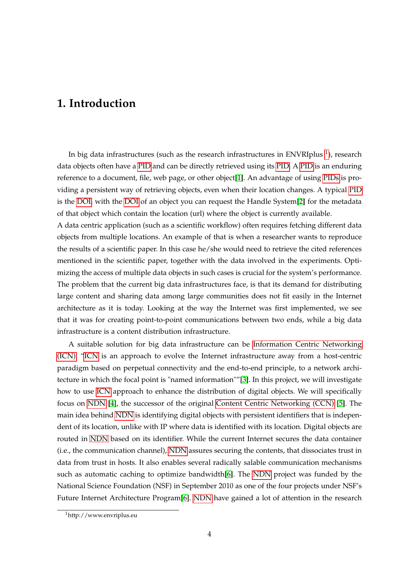# <span id="page-6-1"></span><span id="page-6-0"></span>**1. Introduction**

In big data infrastructures (such as the research infrastructures in ENVRIplus  $^1$  $^1$ ), research data objects often have a [PID](#page-5-0) and can be directly retrieved using its [PID.](#page-5-0) A [PID](#page-5-0) is an enduring reference to a document, file, web page, or other object[\[1\]](#page-36-1). An advantage of using [PIDs](#page-5-0) is providing a persistent way of retrieving objects, even when their location changes. A typical [PID](#page-5-0) is the [DOI,](#page-5-1) with the [DOI](#page-5-1) of an object you can request the Handle System[\[2\]](#page-36-2) for the metadata of that object which contain the location (url) where the object is currently available.

A data centric application (such as a scientific workflow) often requires fetching different data objects from multiple locations. An example of that is when a researcher wants to reproduce the results of a scientific paper. In this case he/she would need to retrieve the cited references mentioned in the scientific paper, together with the data involved in the experiments. Optimizing the access of multiple data objects in such cases is crucial for the system's performance. The problem that the current big data infrastructures face, is that its demand for distributing large content and sharing data among large communities does not fit easily in the Internet architecture as it is today. Looking at the way the Internet was first implemented, we see that it was for creating point-to-point communications between two ends, while a big data infrastructure is a content distribution infrastructure.

A suitable solution for big data infrastructure can be [Information Centric Networking](#page-5-8) [\(ICN\).](#page-5-8) ["ICN](#page-5-8) is an approach to evolve the Internet infrastructure away from a host-centric paradigm based on perpetual connectivity and the end-to-end principle, to a network architecture in which the focal point is "named information""[\[3\]](#page-36-3). In this project, we will investigate how to use [ICN](#page-5-8) approach to enhance the distribution of digital objects. We will specifically focus on [NDN](#page-5-2) [\[4\]](#page-36-4), the successor of the original [Content Centric Networking \(CCN\)](#page-5-9) [\[5\]](#page-36-5). The main idea behind [NDN](#page-5-2) is identifying digital objects with persistent identifiers that is independent of its location, unlike with IP where data is identified with its location. Digital objects are routed in [NDN](#page-5-2) based on its identifier. While the current Internet secures the data container (i.e., the communication channel), [NDN](#page-5-2) assures securing the contents, that dissociates trust in data from trust in hosts. It also enables several radically salable communication mechanisms such as automatic caching to optimize bandwidth[\[6\]](#page-36-6). The [NDN](#page-5-2) project was funded by the National Science Foundation (NSF) in September 2010 as one of the four projects under NSF's Future Internet Architecture Program[\[6\]](#page-36-6). [NDN](#page-5-2) have gained a lot of attention in the research

<span id="page-6-2"></span><sup>1</sup>http://www.envriplus.eu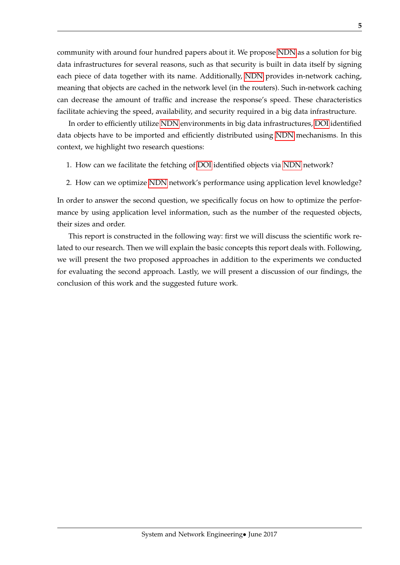community with around four hundred papers about it. We propose [NDN](#page-5-2) as a solution for big data infrastructures for several reasons, such as that security is built in data itself by signing each piece of data together with its name. Additionally, [NDN](#page-5-2) provides in-network caching, meaning that objects are cached in the network level (in the routers). Such in-network caching can decrease the amount of traffic and increase the response's speed. These characteristics facilitate achieving the speed, availability, and security required in a big data infrastructure.

In order to efficiently utilize [NDN](#page-5-2) environments in big data infrastructures, [DOI](#page-5-1) identified data objects have to be imported and efficiently distributed using [NDN](#page-5-2) mechanisms. In this context, we highlight two research questions:

- 1. How can we facilitate the fetching of [DOI](#page-5-1) identified objects via [NDN](#page-5-2) network?
- 2. How can we optimize [NDN](#page-5-2) network's performance using application level knowledge?

In order to answer the second question, we specifically focus on how to optimize the performance by using application level information, such as the number of the requested objects, their sizes and order.

This report is constructed in the following way: first we will discuss the scientific work related to our research. Then we will explain the basic concepts this report deals with. Following, we will present the two proposed approaches in addition to the experiments we conducted for evaluating the second approach. Lastly, we will present a discussion of our findings, the conclusion of this work and the suggested future work.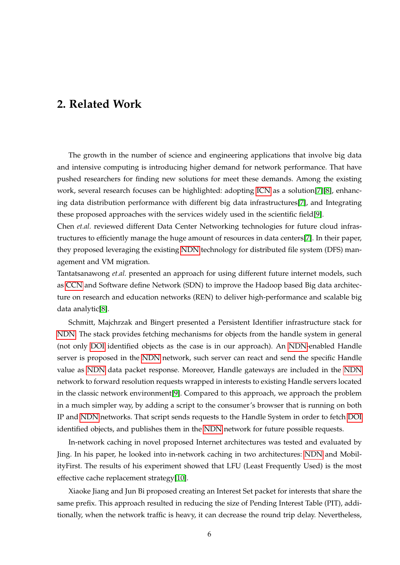### <span id="page-8-1"></span><span id="page-8-0"></span>**2. Related Work**

The growth in the number of science and engineering applications that involve big data and intensive computing is introducing higher demand for network performance. That have pushed researchers for finding new solutions for meet these demands. Among the existing work, several research focuses can be highlighted: adopting [ICN](#page-5-8) as a solution[\[7\]](#page-36-7)[\[8\]](#page-36-8), enhancing data distribution performance with different big data infrastructures[\[7\]](#page-36-7), and Integrating these proposed approaches with the services widely used in the scientific field[\[9\]](#page-36-9).

Chen *et.al.* reviewed different Data Center Networking technologies for future cloud infrastructures to efficiently manage the huge amount of resources in data centers[\[7\]](#page-36-7). In their paper, they proposed leveraging the existing [NDN](#page-5-2) technology for distributed file system (DFS) management and VM migration.

Tantatsanawong *et.al.* presented an approach for using different future internet models, such as [CCN](#page-5-9) and Software define Network (SDN) to improve the Hadoop based Big data architecture on research and education networks (REN) to deliver high-performance and scalable big data analytic[\[8\]](#page-36-8).

Schmitt, Majchrzak and Bingert presented a Persistent Identifier infrastructure stack for [NDN.](#page-5-2) The stack provides fetching mechanisms for objects from the handle system in general (not only [DOI](#page-5-1) identified objects as the case is in our approach). An [NDN-](#page-5-2)enabled Handle server is proposed in the [NDN](#page-5-2) network, such server can react and send the specific Handle value as [NDN](#page-5-2) data packet response. Moreover, Handle gateways are included in the [NDN](#page-5-2) network to forward resolution requests wrapped in interests to existing Handle servers located in the classic network environment[\[9\]](#page-36-9). Compared to this approach, we approach the problem in a much simpler way, by adding a script to the consumer's browser that is running on both IP and [NDN](#page-5-2) networks. That script sends requests to the Handle System in order to fetch [DOI](#page-5-1) identified objects, and publishes them in the [NDN](#page-5-2) network for future possible requests.

In-network caching in novel proposed Internet architectures was tested and evaluated by Jing. In his paper, he looked into in-network caching in two architectures: [NDN](#page-5-2) and MobilityFirst. The results of his experiment showed that LFU (Least Frequently Used) is the most effective cache replacement strategy[\[10\]](#page-37-0).

Xiaoke Jiang and Jun Bi proposed creating an Interest Set packet for interests that share the same prefix. This approach resulted in reducing the size of Pending Interest Table (PIT), additionally, when the network traffic is heavy, it can decrease the round trip delay. Nevertheless,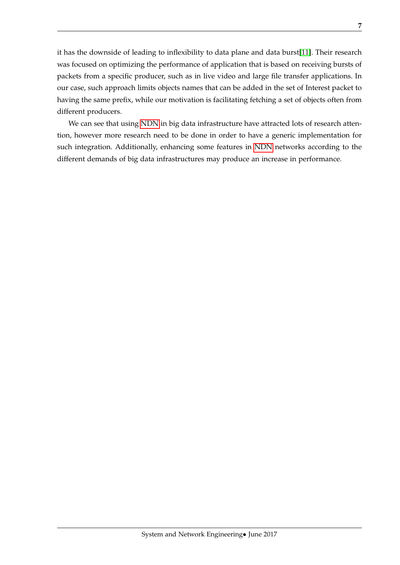it has the downside of leading to inflexibility to data plane and data burst[\[11\]](#page-37-1). Their research was focused on optimizing the performance of application that is based on receiving bursts of packets from a specific producer, such as in live video and large file transfer applications. In our case, such approach limits objects names that can be added in the set of Interest packet to having the same prefix, while our motivation is facilitating fetching a set of objects often from different producers.

We can see that using [NDN](#page-5-2) in big data infrastructure have attracted lots of research attention, however more research need to be done in order to have a generic implementation for such integration. Additionally, enhancing some features in [NDN](#page-5-2) networks according to the different demands of big data infrastructures may produce an increase in performance.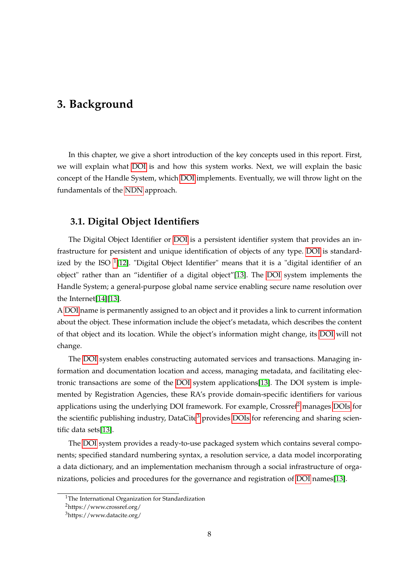### <span id="page-10-2"></span><span id="page-10-0"></span>**3. Background**

In this chapter, we give a short introduction of the key concepts used in this report. First, we will explain what [DOI](#page-5-1) is and how this system works. Next, we will explain the basic concept of the Handle System, which [DOI](#page-5-1) implements. Eventually, we will throw light on the fundamentals of the [NDN](#page-5-2) approach.

### <span id="page-10-1"></span>**3.1. Digital Object Identifiers**

The Digital Object Identifier or [DOI](#page-5-1) is a persistent identifier system that provides an infrastructure for persistent and unique identification of objects of any type. [DOI](#page-5-1) is standard-ized by the ISO <sup>[1](#page-10-3)</sup>[\[12\]](#page-37-2). "Digital Object Identifier" means that it is a "digital identifier of an object" rather than an "identifier of a digital object"[\[13\]](#page-37-3). The [DOI](#page-5-1) system implements the Handle System; a general-purpose global name service enabling secure name resolution over the Internet[\[14\]](#page-37-4)[\[13\]](#page-37-3).

A [DOI](#page-5-1) name is permanently assigned to an object and it provides a link to current information about the object. These information include the object's metadata, which describes the content of that object and its location. While the object's information might change, its [DOI](#page-5-1) will not change.

The [DOI](#page-5-1) system enables constructing automated services and transactions. Managing information and documentation location and access, managing metadata, and facilitating electronic transactions are some of the [DOI](#page-5-1) system applications[\[13\]](#page-37-3). The DOI system is implemented by Registration Agencies, these RA's provide domain-specific identifiers for various applications using the underlying DOI framework. For example,  $C$ rossref<sup>[2](#page-10-4)</sup> manages [DOIs](#page-5-1) for the scientific publishing industry, DataCite<sup>[3](#page-10-5)</sup> provides [DOIs](#page-5-1) for referencing and sharing scientific data sets[\[13\]](#page-37-3).

The [DOI](#page-5-1) system provides a ready-to-use packaged system which contains several components; specified standard numbering syntax, a resolution service, a data model incorporating a data dictionary, and an implementation mechanism through a social infrastructure of organizations, policies and procedures for the governance and registration of [DOI](#page-5-1) names[\[13\]](#page-37-3).

<span id="page-10-3"></span><sup>&</sup>lt;sup>1</sup>The International Organization for Standardization

<span id="page-10-5"></span><span id="page-10-4"></span><sup>2</sup>https://www.crossref.org/

<sup>3</sup>https://www.datacite.org/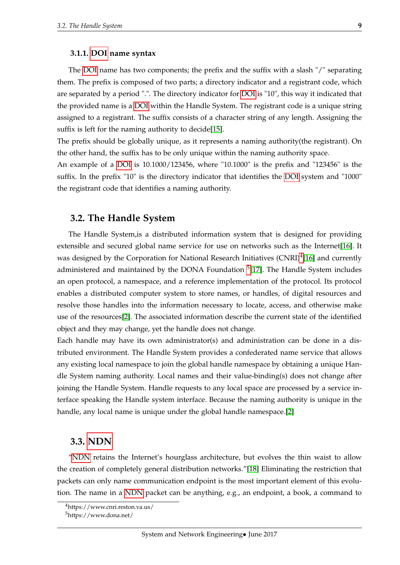#### <span id="page-11-3"></span><span id="page-11-0"></span>**3.1.1. [DOI](#page-5-1) name syntax**

The [DOI](#page-5-1) name has two components; the prefix and the suffix with a slash "/" separating them. The prefix is composed of two parts; a directory indicator and a registrant code, which are separated by a period ".". The directory indicator for [DOI](#page-5-1) is "10", this way it indicated that the provided name is a [DOI](#page-5-1) within the Handle System. The registrant code is a unique string assigned to a registrant. The suffix consists of a character string of any length. Assigning the suffix is left for the naming authority to decide[\[15\]](#page-37-5).

The prefix should be globally unique, as it represents a naming authority(the registrant). On the other hand, the suffix has to be only unique within the naming authority space.

An example of a [DOI](#page-5-1) is 10.1000/123456, where "10.1000" is the prefix and "123456" is the suffix. In the prefix "10" is the directory indicator that identifies the [DOI](#page-5-1) system and "1000" the registrant code that identifies a naming authority.

#### <span id="page-11-1"></span>**3.2. The Handle System**

The Handle System,is a distributed information system that is designed for providing extensible and secured global name service for use on networks such as the Internet[\[16\]](#page-37-6). It was designed by the Corporation for National Research Initiatives (CNRI)<sup>[4](#page-11-4)</sup>[\[16\]](#page-37-6) and currently administered and maintained by the DONA Foundation <sup>[5](#page-11-5)</sup>[\[17\]](#page-37-7). The Handle System includes an open protocol, a namespace, and a reference implementation of the protocol. Its protocol enables a distributed computer system to store names, or handles, of digital resources and resolve those handles into the information necessary to locate, access, and otherwise make use of the resources[\[2\]](#page-36-2). The associated information describe the current state of the identified object and they may change, yet the handle does not change.

Each handle may have its own administrator(s) and administration can be done in a distributed environment. The Handle System provides a confederated name service that allows any existing local namespace to join the global handle namespace by obtaining a unique Handle System naming authority. Local names and their value-binding(s) does not change after joining the Handle System. Handle requests to any local space are processed by a service interface speaking the Handle system interface. Because the naming authority is unique in the handle, any local name is unique under the global handle namespace.[\[2\]](#page-36-2)

#### <span id="page-11-2"></span>**3.3. [NDN](#page-5-2)**

["NDN](#page-5-2) retains the Internet's hourglass architecture, but evolves the thin waist to allow the creation of completely general distribution networks."[\[18\]](#page-37-8) Eliminating the restriction that packets can only name communication endpoint is the most important element of this evolution. The name in a [NDN](#page-5-2) packet can be anything, e.g., an endpoint, a book, a command to

<span id="page-11-5"></span><span id="page-11-4"></span><sup>4</sup>https://www.cnri.reston.va.us/

<sup>5</sup>https://www.dona.net/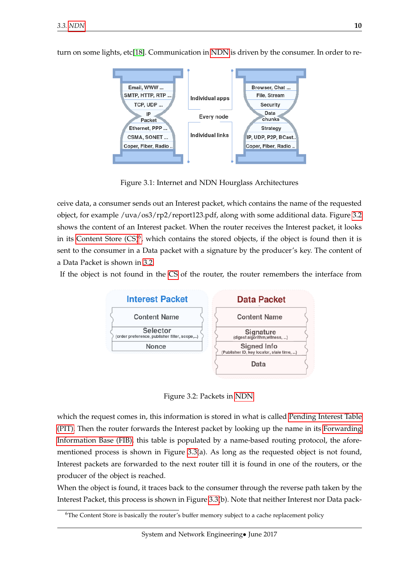

<span id="page-12-2"></span>turn on some lights, etc[\[18\]](#page-37-8). Communication in [NDN](#page-5-2) is driven by the consumer. In order to re-

<span id="page-12-0"></span>Figure 3.1: Internet and NDN Hourglass Architectures

ceive data, a consumer sends out an Interest packet, which contains the name of the requested object, for example /uva/os3/rp2/report123.pdf, along with some additional data. Figure [3.2](#page-12-1) shows the content of an Interest packet. When the router receives the Interest packet, it looks in its Content Store  $(CS)^6$  $(CS)^6$ , which contains the stored objects, if the object is found then it is sent to the consumer in a Data packet with a signature by the producer's key. The content of a Data Packet is shown in [3.2.](#page-12-1)

If the object is not found in the [CS](#page-5-10) of the router, the router remembers the interface from



<span id="page-12-1"></span>Figure 3.2: Packets in [NDN](#page-5-2)

which the request comes in, this information is stored in what is called [Pending Interest Table](#page-5-11) [\(PIT\).](#page-5-11) Then the router forwards the Interest packet by looking up the name in its [Forwarding](#page-5-12) [Information Base \(FIB\),](#page-5-12) this table is populated by a name-based routing protocol, the aforementioned process is shown in Figure [3.3\(](#page-13-0)a). As long as the requested object is not found, Interest packets are forwarded to the next router till it is found in one of the routers, or the producer of the object is reached.

When the object is found, it traces back to the consumer through the reverse path taken by the Interest Packet, this process is shown in Figure [3.3\(](#page-13-0)b). Note that neither Interest nor Data pack-

<span id="page-12-3"></span><sup>&</sup>lt;sup>6</sup>The Content Store is basically the router's buffer memory subject to a cache replacement policy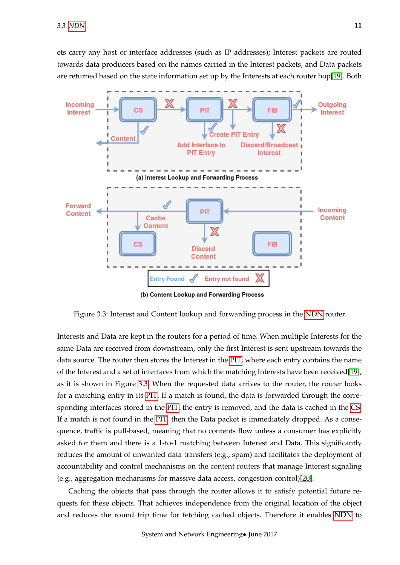<span id="page-13-1"></span>ets carry any host or interface addresses (such as IP addresses); Interest packets are routed towards data producers based on the names carried in the Interest packets, and Data packets are returned based on the state information set up by the Interests at each router hop[\[19\]](#page-37-9). Both



<span id="page-13-0"></span>Figure 3.3: Interest and Content lookup and forwarding process in the [NDN](#page-5-2) router

Interests and Data are kept in the routers for a period of time. When multiple Interests for the same Data are received from downstream, only the first Interest is sent upstream towards the data source. The router then stores the Interest in the [PIT,](#page-5-11) where each entry contains the name of the Interest and a set of interfaces from which the matching Interests have been received[\[19\]](#page-37-9), as it is shown in Figure [3.3.](#page-13-0) When the requested data arrives to the router, the router looks for a matching entry in its [PIT.](#page-5-11) If a match is found, the data is forwarded through the corresponding interfaces stored in the [PIT,](#page-5-11) the entry is removed, and the data is cached in the [CS.](#page-5-10) If a match is not found in the [PIT,](#page-5-11) then the Data packet is immediately dropped. As a consequence, traffic is pull-based, meaning that no contents flow unless a consumer has explicitly asked for them and there is a 1-to-1 matching between Interest and Data. This significantly reduces the amount of unwanted data transfers (e.g., spam) and facilitates the deployment of accountability and control mechanisms on the content routers that manage Interest signaling (e.g., aggregation mechanisms for massive data access, congestion control)[\[20\]](#page-37-10).

Caching the objects that pass through the router allows it to satisfy potential future requests for these objects. That achieves independence from the original location of the object and reduces the round trip time for fetching cached objects. Therefore it enables [NDN](#page-5-2) to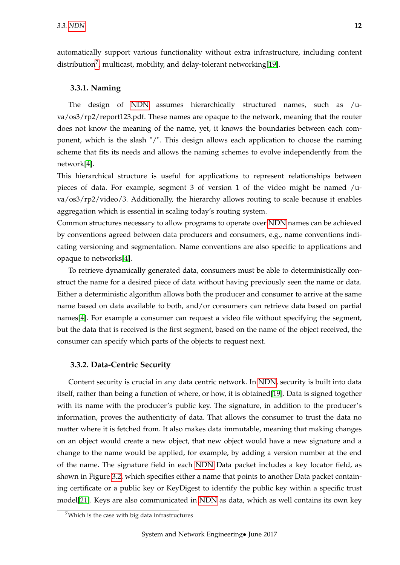automatically support various functionality without extra infrastructure, including content distribution<sup>[7](#page-14-2)</sup>, multicast, mobility, and delay-tolerant networking[\[19\]](#page-37-9).

#### <span id="page-14-0"></span>**3.3.1. Naming**

The design of [NDN](#page-5-2) assumes hierarchically structured names, such as /uva/os3/rp2/report123.pdf. These names are opaque to the network, meaning that the router does not know the meaning of the name, yet, it knows the boundaries between each component, which is the slash "/". This design allows each application to choose the naming scheme that fits its needs and allows the naming schemes to evolve independently from the network[\[4\]](#page-36-4).

This hierarchical structure is useful for applications to represent relationships between pieces of data. For example, segment 3 of version 1 of the video might be named /uva/os3/rp2/video/3. Additionally, the hierarchy allows routing to scale because it enables aggregation which is essential in scaling today's routing system.

Common structures necessary to allow programs to operate over [NDN](#page-5-2) names can be achieved by conventions agreed between data producers and consumers, e.g., name conventions indicating versioning and segmentation. Name conventions are also specific to applications and opaque to networks[\[4\]](#page-36-4).

To retrieve dynamically generated data, consumers must be able to deterministically construct the name for a desired piece of data without having previously seen the name or data. Either a deterministic algorithm allows both the producer and consumer to arrive at the same name based on data available to both, and/or consumers can retrieve data based on partial names[\[4\]](#page-36-4). For example a consumer can request a video file without specifying the segment, but the data that is received is the first segment, based on the name of the object received, the consumer can specify which parts of the objects to request next.

#### <span id="page-14-1"></span>**3.3.2. Data-Centric Security**

Content security is crucial in any data centric network. In [NDN,](#page-5-2) security is built into data itself, rather than being a function of where, or how, it is obtained[\[19\]](#page-37-9). Data is signed together with its name with the producer's public key. The signature, in addition to the producer's information, proves the authenticity of data. That allows the consumer to trust the data no matter where it is fetched from. It also makes data immutable, meaning that making changes on an object would create a new object, that new object would have a new signature and a change to the name would be applied, for example, by adding a version number at the end of the name. The signature field in each [NDN](#page-5-2) Data packet includes a key locator field, as shown in Figure [3.2,](#page-12-1) which specifies either a name that points to another Data packet containing certificate or a public key or KeyDigest to identify the public key within a specific trust model[\[21\]](#page-37-11). Keys are also communicated in [NDN](#page-5-2) as data, which as well contains its own key

<span id="page-14-2"></span> $7$ Which is the case with big data infrastructures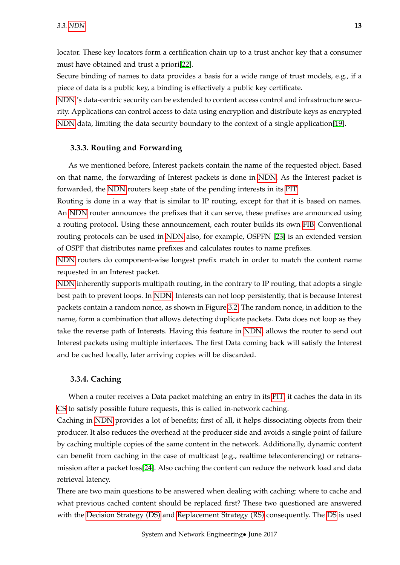<span id="page-15-2"></span>locator. These key locators form a certification chain up to a trust anchor key that a consumer must have obtained and trust a priori[\[22\]](#page-37-12).

Secure binding of names to data provides a basis for a wide range of trust models, e.g., if a piece of data is a public key, a binding is effectively a public key certificate.

[NDN](#page-5-2) 's data-centric security can be extended to content access control and infrastructure security. Applications can control access to data using encryption and distribute keys as encrypted [NDN](#page-5-2) data, limiting the data security boundary to the context of a single application[\[19\]](#page-37-9).

#### <span id="page-15-0"></span>**3.3.3. Routing and Forwarding**

As we mentioned before, Interest packets contain the name of the requested object. Based on that name, the forwarding of Interest packets is done in [NDN.](#page-5-2) As the Interest packet is forwarded, the [NDN](#page-5-2) routers keep state of the pending interests in its [PIT.](#page-5-11)

Routing is done in a way that is similar to IP routing, except for that it is based on names. An [NDN](#page-5-2) router announces the prefixes that it can serve, these prefixes are announced using a routing protocol. Using these announcement, each router builds its own [FIB.](#page-5-12) Conventional routing protocols can be used in [NDN](#page-5-2) also, for example, OSPFN [\[23\]](#page-37-13) is an extended version of OSPF that distributes name prefixes and calculates routes to name prefixes.

[NDN](#page-5-2) routers do component-wise longest prefix match in order to match the content name requested in an Interest packet.

[NDN](#page-5-2) inherently supports multipath routing, in the contrary to IP routing, that adopts a single best path to prevent loops. In [NDN,](#page-5-2) Interests can not loop persistently, that is because Interest packets contain a random nonce, as shown in Figure [3.2.](#page-12-1) The random nonce, in addition to the name, form a combination that allows detecting duplicate packets. Data does not loop as they take the reverse path of Interests. Having this feature in [NDN,](#page-5-2) allows the router to send out Interest packets using multiple interfaces. The first Data coming back will satisfy the Interest and be cached locally, later arriving copies will be discarded.

#### <span id="page-15-1"></span>**3.3.4. Caching**

When a router receives a Data packet matching an entry in its [PIT,](#page-5-11) it caches the data in its [CS](#page-5-10) to satisfy possible future requests, this is called in-network caching.

Caching in [NDN](#page-5-2) provides a lot of benefits; first of all, it helps dissociating objects from their producer. It also reduces the overhead at the producer side and avoids a single point of failure by caching multiple copies of the same content in the network. Additionally, dynamic content can benefit from caching in the case of multicast (e.g., realtime teleconferencing) or retransmission after a packet loss[\[24\]](#page-37-14). Also caching the content can reduce the network load and data retrieval latency.

There are two main questions to be answered when dealing with caching: where to cache and what previous cached content should be replaced first? These two questioned are answered with the [Decision Strategy \(DS\)](#page-5-13) and [Replacement Strategy \(RS\)](#page-5-14) consequently. The [DS](#page-5-13) is used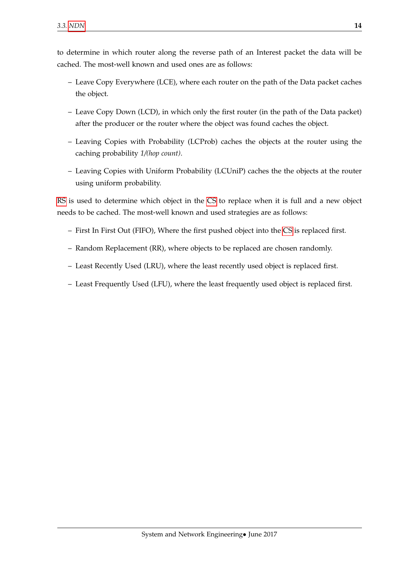<span id="page-16-0"></span>to determine in which router along the reverse path of an Interest packet the data will be cached. The most-well known and used ones are as follows:

- Leave Copy Everywhere (LCE), where each router on the path of the Data packet caches the object.
- Leave Copy Down (LCD), in which only the first router (in the path of the Data packet) after the producer or the router where the object was found caches the object.
- Leaving Copies with Probability (LCProb) caches the objects at the router using the caching probability *1/(hop count)*.
- Leaving Copies with Uniform Probability (LCUniP) caches the the objects at the router using uniform probability.

[RS](#page-5-14) is used to determine which object in the [CS](#page-5-10) to replace when it is full and a new object needs to be cached. The most-well known and used strategies are as follows:

- First In First Out (FIFO), Where the first pushed object into the [CS](#page-5-10) is replaced first.
- Random Replacement (RR), where objects to be replaced are chosen randomly.
- Least Recently Used (LRU), where the least recently used object is replaced first.
- Least Frequently Used (LFU), where the least frequently used object is replaced first.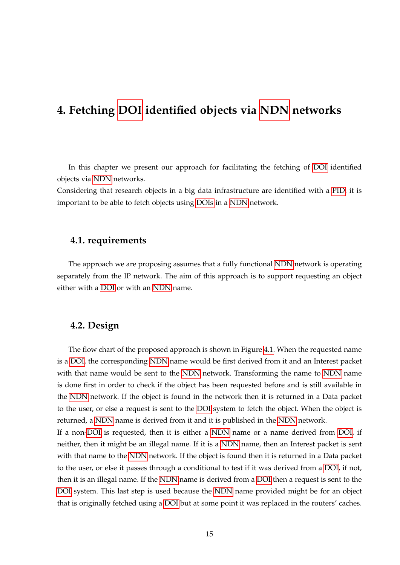### <span id="page-17-3"></span><span id="page-17-0"></span>**4. Fetching [DOI](#page-5-1) identified objects via [NDN](#page-5-2) networks**

In this chapter we present our approach for facilitating the fetching of [DOI](#page-5-1) identified objects via [NDN](#page-5-2) networks.

Considering that research objects in a big data infrastructure are identified with a [PID,](#page-5-0) it is important to be able to fetch objects using [DOIs](#page-5-1) in a [NDN](#page-5-2) network.

#### <span id="page-17-1"></span>**4.1. requirements**

The approach we are proposing assumes that a fully functional [NDN](#page-5-2) network is operating separately from the IP network. The aim of this approach is to support requesting an object either with a [DOI](#page-5-1) or with an [NDN](#page-5-2) name.

#### <span id="page-17-2"></span>**4.2. Design**

The flow chart of the proposed approach is shown in Figure [4.1.](#page-18-1) When the requested name is a [DOI,](#page-5-1) the corresponding [NDN](#page-5-2) name would be first derived from it and an Interest packet with that name would be sent to the [NDN](#page-5-2) network. Transforming the name to [NDN](#page-5-2) name is done first in order to check if the object has been requested before and is still available in the [NDN](#page-5-2) network. If the object is found in the network then it is returned in a Data packet to the user, or else a request is sent to the [DOI](#page-5-1) system to fetch the object. When the object is returned, a [NDN](#page-5-2) name is derived from it and it is published in the [NDN](#page-5-2) network.

If a non[-DOI](#page-5-1) is requested, then it is either a [NDN](#page-5-2) name or a name derived from [DOI,](#page-5-1) if neither, then it might be an illegal name. If it is a [NDN](#page-5-2) name, then an Interest packet is sent with that name to the [NDN](#page-5-2) network. If the object is found then it is returned in a Data packet to the user, or else it passes through a conditional to test if it was derived from a [DOI,](#page-5-1) if not, then it is an illegal name. If the [NDN](#page-5-2) name is derived from a [DOI](#page-5-1) then a request is sent to the [DOI](#page-5-1) system. This last step is used because the [NDN](#page-5-2) name provided might be for an object that is originally fetched using a [DOI](#page-5-1) but at some point it was replaced in the routers' caches.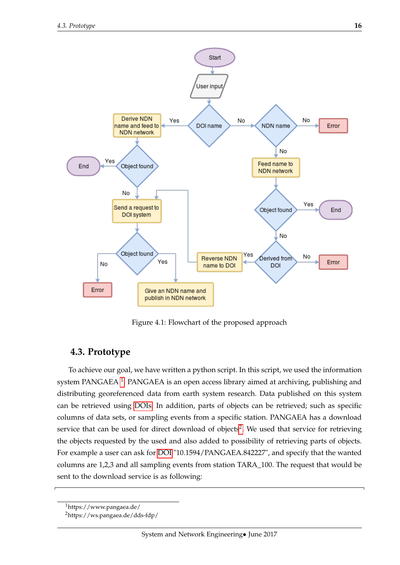

<span id="page-18-1"></span>Figure 4.1: Flowchart of the proposed approach

### <span id="page-18-0"></span>**4.3. Prototype**

To achieve our goal, we have written a python script. In this script, we used the information system PANGAEA  $^1$  $^1$ . PANGAEA is an open access library aimed at archiving, publishing and distributing georeferenced data from earth system research. Data published on this system can be retrieved using [DOIs.](#page-5-1) In addition, parts of objects can be retrieved; such as specific columns of data sets, or sampling events from a specific station. PANGAEA has a download service that can be used for direct download of objects<sup>[2](#page-18-3)</sup>. We used that service for retrieving the objects requested by the used and also added to possibility of retrieving parts of objects. For example a user can ask for [DOI](#page-5-1) "10.1594/PANGAEA.842227", and specify that the wanted columns are 1,2,3 and all sampling events from station TARA\_100. The request that would be sent to the download service is as following:

<span id="page-18-3"></span><span id="page-18-2"></span><sup>1</sup>https://www.pangaea.de/

<sup>2</sup>https://ws.pangaea.de/dds-fdp/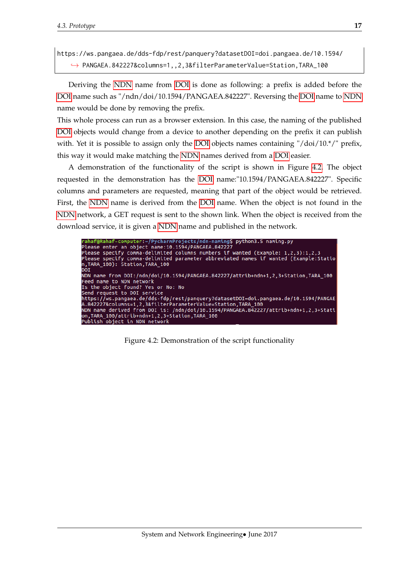```
https://ws.pangaea.de/dds-fdp/rest/panquery?datasetDOI=doi.pangaea.de/10.1594/
   ,→ PANGAEA.842227&columns=1,,2,3&filterParameterValue=Station,TARA_100
```
Deriving the [NDN](#page-5-2) name from [DOI](#page-5-1) is done as following: a prefix is added before the [DOI](#page-5-1) name such as "/ndn/doi/10.1594/PANGAEA.842227". Reversing the [DOI](#page-5-1) name to [NDN](#page-5-2) name would be done by removing the prefix.

This whole process can run as a browser extension. In this case, the naming of the published [DOI](#page-5-1) objects would change from a device to another depending on the prefix it can publish with. Yet it is possible to assign only the [DOI](#page-5-1) objects names containing " $\frac{d}{d}$  / $\frac{d}{d}$  / $\frac{d}{d}$  prefix, this way it would make matching the [NDN](#page-5-2) names derived from a [DOI](#page-5-1) easier.

A demonstration of the functionality of the script is shown in Figure [4.2.](#page-19-0) The object requested in the demonstration has the [DOI](#page-5-1) name:"10.1594/PANGAEA.842227". Specific columns and parameters are requested, meaning that part of the object would be retrieved. First, the [NDN](#page-5-2) name is derived from the [DOI](#page-5-1) name. When the object is not found in the [NDN](#page-5-2) network, a GET request is sent to the shown link. When the object is received from the download service, it is given a [NDN](#page-5-2) name and published in the network.

<span id="page-19-0"></span>

Figure 4.2: Demonstration of the script functionality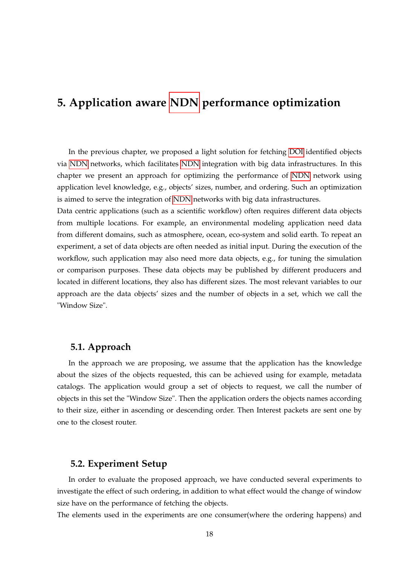## <span id="page-20-3"></span><span id="page-20-0"></span>**5. Application aware [NDN](#page-5-2) performance optimization**

In the previous chapter, we proposed a light solution for fetching [DOI](#page-5-1) identified objects via [NDN](#page-5-2) networks, which facilitates [NDN](#page-5-2) integration with big data infrastructures. In this chapter we present an approach for optimizing the performance of [NDN](#page-5-2) network using application level knowledge, e.g., objects' sizes, number, and ordering. Such an optimization is aimed to serve the integration of [NDN](#page-5-2) networks with big data infrastructures.

Data centric applications (such as a scientific workflow) often requires different data objects from multiple locations. For example, an environmental modeling application need data from different domains, such as atmosphere, ocean, eco-system and solid earth. To repeat an experiment, a set of data objects are often needed as initial input. During the execution of the workflow, such application may also need more data objects, e.g., for tuning the simulation or comparison purposes. These data objects may be published by different producers and located in different locations, they also has different sizes. The most relevant variables to our approach are the data objects' sizes and the number of objects in a set, which we call the "Window Size".

### <span id="page-20-1"></span>**5.1. Approach**

In the approach we are proposing, we assume that the application has the knowledge about the sizes of the objects requested, this can be achieved using for example, metadata catalogs. The application would group a set of objects to request, we call the number of objects in this set the "Window Size". Then the application orders the objects names according to their size, either in ascending or descending order. Then Interest packets are sent one by one to the closest router.

### <span id="page-20-2"></span>**5.2. Experiment Setup**

In order to evaluate the proposed approach, we have conducted several experiments to investigate the effect of such ordering, in addition to what effect would the change of window size have on the performance of fetching the objects.

The elements used in the experiments are one consumer(where the ordering happens) and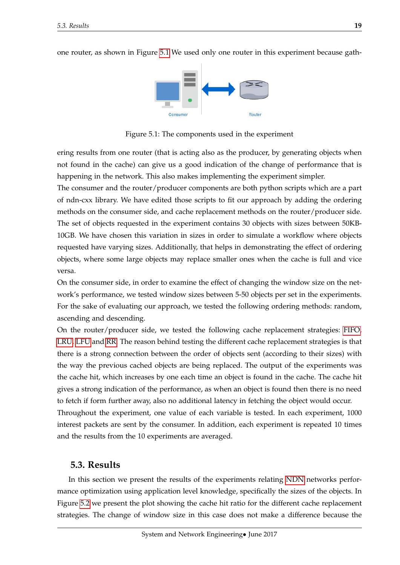<span id="page-21-2"></span>one router, as shown in Figure [5.1](#page-21-1) We used only one router in this experiment because gath-



<span id="page-21-1"></span>Figure 5.1: The components used in the experiment

ering results from one router (that is acting also as the producer, by generating objects when not found in the cache) can give us a good indication of the change of performance that is happening in the network. This also makes implementing the experiment simpler.

The consumer and the router/producer components are both python scripts which are a part of ndn-cxx library. We have edited those scripts to fit our approach by adding the ordering methods on the consumer side, and cache replacement methods on the router/producer side. The set of objects requested in the experiment contains 30 objects with sizes between 50KB-10GB. We have chosen this variation in sizes in order to simulate a workflow where objects requested have varying sizes. Additionally, that helps in demonstrating the effect of ordering objects, where some large objects may replace smaller ones when the cache is full and vice versa.

On the consumer side, in order to examine the effect of changing the window size on the network's performance, we tested window sizes between 5-50 objects per set in the experiments. For the sake of evaluating our approach, we tested the following ordering methods: random, ascending and descending.

On the router/producer side, we tested the following cache replacement strategies: [FIFO,](#page-5-6) [LRU,](#page-5-7) [LFU](#page-5-5) and [RR.](#page-5-4) The reason behind testing the different cache replacement strategies is that there is a strong connection between the order of objects sent (according to their sizes) with the way the previous cached objects are being replaced. The output of the experiments was the cache hit, which increases by one each time an object is found in the cache. The cache hit gives a strong indication of the performance, as when an object is found then there is no need to fetch if form further away, also no additional latency in fetching the object would occur. Throughout the experiment, one value of each variable is tested. In each experiment, 1000 interest packets are sent by the consumer. In addition, each experiment is repeated 10 times

### <span id="page-21-0"></span>**5.3. Results**

and the results from the 10 experiments are averaged.

In this section we present the results of the experiments relating [NDN](#page-5-2) networks performance optimization using application level knowledge, specifically the sizes of the objects. In Figure [5.2](#page-22-0) we present the plot showing the cache hit ratio for the different cache replacement strategies. The change of window size in this case does not make a difference because the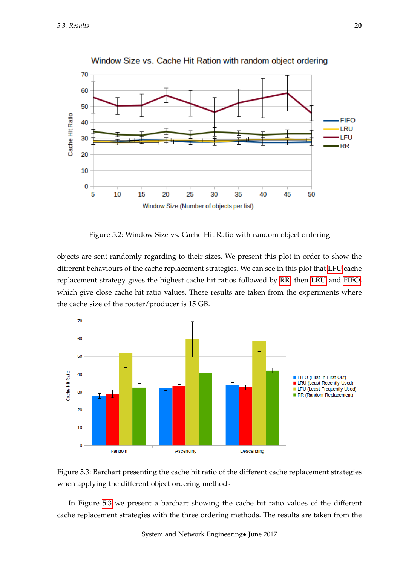

Window Size vs. Cache Hit Ration with random object ordering

<span id="page-22-0"></span>Figure 5.2: Window Size vs. Cache Hit Ratio with random object ordering

objects are sent randomly regarding to their sizes. We present this plot in order to show the different behaviours of the cache replacement strategies. We can see in this plot that [LFU](#page-5-5) cache replacement strategy gives the highest cache hit ratios followed by [RR,](#page-5-4) then [LRU](#page-5-7) and [FIFO,](#page-5-6) which give close cache hit ratio values. These results are taken from the experiments where the cache size of the router/producer is 15 GB.



<span id="page-22-1"></span>

In Figure [5.3](#page-22-1) we present a barchart showing the cache hit ratio values of the different cache replacement strategies with the three ordering methods. The results are taken from the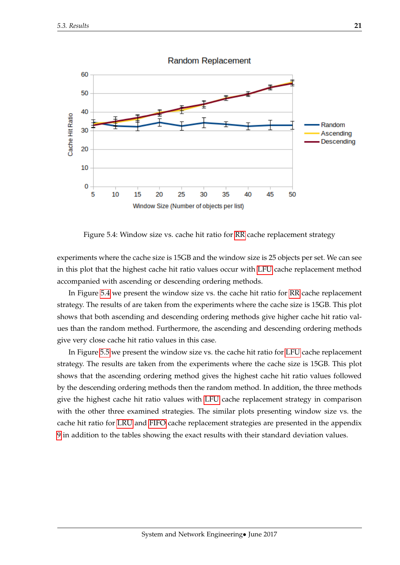<span id="page-23-1"></span>

**Random Replacement** 

<span id="page-23-0"></span>Figure 5.4: Window size vs. cache hit ratio for [RR](#page-5-4) cache replacement strategy

experiments where the cache size is 15GB and the window size is 25 objects per set. We can see in this plot that the highest cache hit ratio values occur with [LFU](#page-5-5) cache replacement method accompanied with ascending or descending ordering methods.

In Figure [5.4](#page-23-0) we present the window size vs. the cache hit ratio for [RR](#page-5-4) cache replacement strategy. The results of are taken from the experiments where the cache size is 15GB. This plot shows that both ascending and descending ordering methods give higher cache hit ratio values than the random method. Furthermore, the ascending and descending ordering methods give very close cache hit ratio values in this case.

In Figure [5.5](#page-24-0) we present the window size vs. the cache hit ratio for [LFU](#page-5-5) cache replacement strategy. The results are taken from the experiments where the cache size is 15GB. This plot shows that the ascending ordering method gives the highest cache hit ratio values followed by the descending ordering methods then the random method. In addition, the three methods give the highest cache hit ratio values with [LFU](#page-5-5) cache replacement strategy in comparison with the other three examined strategies. The similar plots presenting window size vs. the cache hit ratio for [LRU](#page-5-7) and [FIFO](#page-5-6) cache replacement strategies are presented in the appendix [9](#page-29-0) in addition to the tables showing the exact results with their standard deviation values.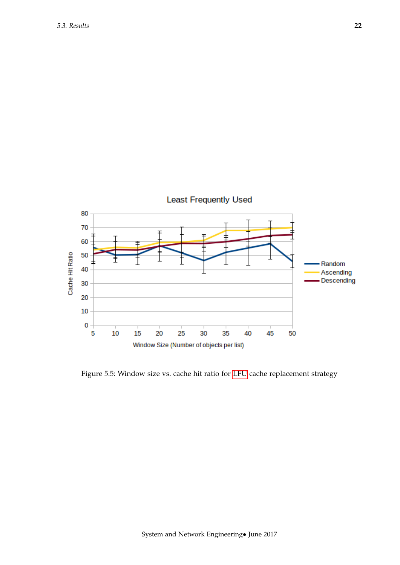

<span id="page-24-0"></span>Figure 5.5: Window size vs. cache hit ratio for [LFU](#page-5-5) cache replacement strategy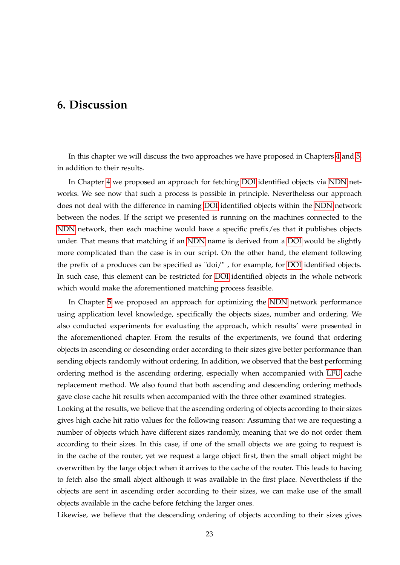### <span id="page-25-1"></span><span id="page-25-0"></span>**6. Discussion**

In this chapter we will discuss the two approaches we have proposed in Chapters [4](#page-17-0) and [5,](#page-20-0) in addition to their results.

In Chapter [4](#page-17-0) we proposed an approach for fetching [DOI](#page-5-1) identified objects via [NDN](#page-5-2) networks. We see now that such a process is possible in principle. Nevertheless our approach does not deal with the difference in naming [DOI](#page-5-1) identified objects within the [NDN](#page-5-2) network between the nodes. If the script we presented is running on the machines connected to the [NDN](#page-5-2) network, then each machine would have a specific prefix/es that it publishes objects under. That means that matching if an [NDN](#page-5-2) name is derived from a [DOI](#page-5-1) would be slightly more complicated than the case is in our script. On the other hand, the element following the prefix of a produces can be specified as "doi/" , for example, for [DOI](#page-5-1) identified objects. In such case, this element can be restricted for [DOI](#page-5-1) identified objects in the whole network which would make the aforementioned matching process feasible.

In Chapter [5](#page-20-0) we proposed an approach for optimizing the [NDN](#page-5-2) network performance using application level knowledge, specifically the objects sizes, number and ordering. We also conducted experiments for evaluating the approach, which results' were presented in the aforementioned chapter. From the results of the experiments, we found that ordering objects in ascending or descending order according to their sizes give better performance than sending objects randomly without ordering. In addition, we observed that the best performing ordering method is the ascending ordering, especially when accompanied with [LFU](#page-5-5) cache replacement method. We also found that both ascending and descending ordering methods gave close cache hit results when accompanied with the three other examined strategies.

Looking at the results, we believe that the ascending ordering of objects according to their sizes gives high cache hit ratio values for the following reason: Assuming that we are requesting a number of objects which have different sizes randomly, meaning that we do not order them according to their sizes. In this case, if one of the small objects we are going to request is in the cache of the router, yet we request a large object first, then the small object might be overwritten by the large object when it arrives to the cache of the router. This leads to having to fetch also the small abject although it was available in the first place. Nevertheless if the objects are sent in ascending order according to their sizes, we can make use of the small objects available in the cache before fetching the larger ones.

Likewise, we believe that the descending ordering of objects according to their sizes gives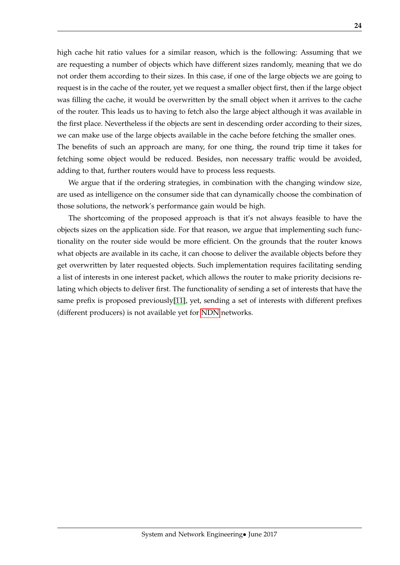high cache hit ratio values for a similar reason, which is the following: Assuming that we are requesting a number of objects which have different sizes randomly, meaning that we do not order them according to their sizes. In this case, if one of the large objects we are going to request is in the cache of the router, yet we request a smaller object first, then if the large object was filling the cache, it would be overwritten by the small object when it arrives to the cache of the router. This leads us to having to fetch also the large abject although it was available in the first place. Nevertheless if the objects are sent in descending order according to their sizes, we can make use of the large objects available in the cache before fetching the smaller ones. The benefits of such an approach are many, for one thing, the round trip time it takes for fetching some object would be reduced. Besides, non necessary traffic would be avoided, adding to that, further routers would have to process less requests.

We argue that if the ordering strategies, in combination with the changing window size, are used as intelligence on the consumer side that can dynamically choose the combination of those solutions, the network's performance gain would be high.

The shortcoming of the proposed approach is that it's not always feasible to have the objects sizes on the application side. For that reason, we argue that implementing such functionality on the router side would be more efficient. On the grounds that the router knows what objects are available in its cache, it can choose to deliver the available objects before they get overwritten by later requested objects. Such implementation requires facilitating sending a list of interests in one interest packet, which allows the router to make priority decisions relating which objects to deliver first. The functionality of sending a set of interests that have the same prefix is proposed previously[\[11\]](#page-37-1), yet, sending a set of interests with different prefixes (different producers) is not available yet for [NDN](#page-5-2) networks.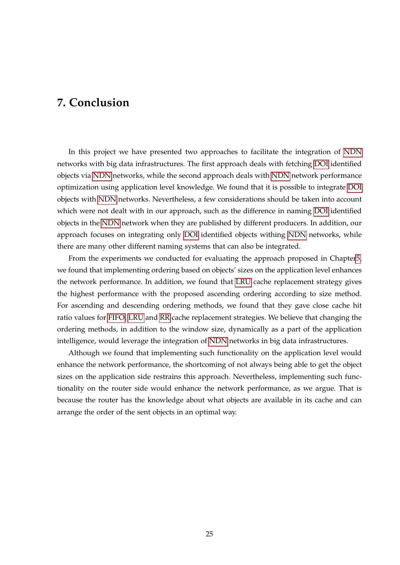### <span id="page-27-1"></span><span id="page-27-0"></span>**7. Conclusion**

In this project we have presented two approaches to facilitate the integration of [NDN](#page-5-2) networks with big data infrastructures. The first approach deals with fetching [DOI](#page-5-1) identified objects via [NDN](#page-5-2) networks, while the second approach deals with [NDN](#page-5-2) network performance optimization using application level knowledge. We found that it is possible to integrate [DOI](#page-5-1) objects with [NDN](#page-5-2) networks. Nevertheless, a few considerations should be taken into account which were not dealt with in our approach, such as the difference in naming [DOI](#page-5-1) identified objects in the [NDN](#page-5-2) network when they are published by different producers. In addition, our approach focuses on integrating only [DOI](#page-5-1) identified objects withing [NDN](#page-5-2) networks, while there are many other different naming systems that can also be integrated.

From the experiments we conducted for evaluating the approach proposed in Chapte[r5,](#page-20-0) we found that implementing ordering based on objects' sizes on the application level enhances the network performance. In addition, we found that [LRU](#page-5-7) cache replacement strategy gives the highest performance with the proposed ascending ordering according to size method. For ascending and descending ordering methods, we found that they gave close cache hit ratio values for [FIFO,](#page-5-6) [LRU](#page-5-7) and [RR](#page-5-4) cache replacement strategies. We believe that changing the ordering methods, in addition to the window size, dynamically as a part of the application intelligence, would leverage the integration of [NDN](#page-5-2) networks in big data infrastructures.

Although we found that implementing such functionality on the application level would enhance the network performance, the shortcoming of not always being able to get the object sizes on the application side restrains this approach. Nevertheless, implementing such functionality on the router side would enhance the network performance, as we argue. That is because the router has the knowledge about what objects are available in its cache and can arrange the order of the sent objects in an optimal way.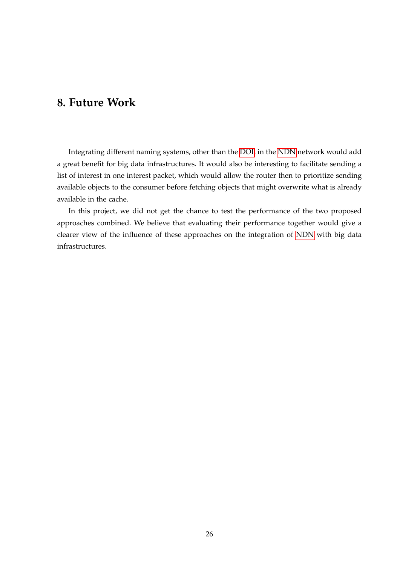# <span id="page-28-1"></span><span id="page-28-0"></span>**8. Future Work**

Integrating different naming systems, other than the [DOI,](#page-5-1) in the [NDN](#page-5-2) network would add a great benefit for big data infrastructures. It would also be interesting to facilitate sending a list of interest in one interest packet, which would allow the router then to prioritize sending available objects to the consumer before fetching objects that might overwrite what is already available in the cache.

In this project, we did not get the chance to test the performance of the two proposed approaches combined. We believe that evaluating their performance together would give a clearer view of the influence of these approaches on the integration of [NDN](#page-5-2) with big data infrastructures.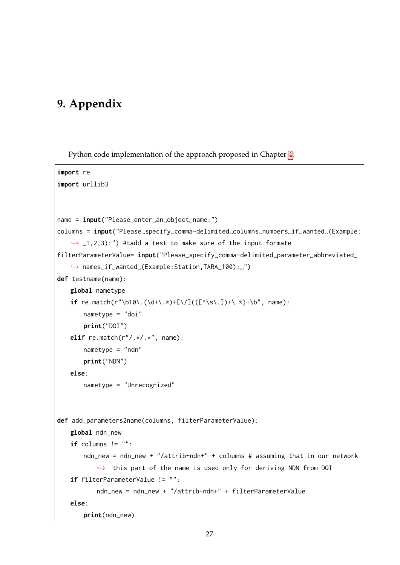# <span id="page-29-0"></span>**9. Appendix**

Python code implementation of the approach proposed in Chapter [4:](#page-17-0)

```
import re
import urllib3
name = input("Please␣enter␣an␣object␣name:")
columns = input("Please␣specify␣comma-delimited␣columns␣numbers␣if␣wanted␣(Example:
   \rightarrow .1,2,3):") #tadd a test to make sure of the input formate
filterParameterValue= input("Please␣specify␣comma-delimited␣parameter␣abbreviated␣
   ,→ names␣if␣wanted␣(Example:Station,TARA_100):␣")
def testname(name):
   global nametype
   if re.match(r"\b10\.(\d+\.*)+[\/](([^\s\.])+\.*)+\b", name):
       nametype = "doi"print("DOI")
   elif re.match(r"/.*/.*", name):
       nametype = "ndn"
       print("NDN")
   else:
       nametype = "Unrecognized"
def add_parameters2name(columns, filterParameterValue):
   global ndn_new
   if columns != " ":
       ndn_new = ndn_new + "/attrib+ndn+" + columns # assuming that in our network
           \rightarrow this part of the name is used only for deriving NDN from DOI
   if filterParameterValue != "":
           ndn new = ndn new + "/attrib+ndn+" + filterParameterValue
   else:
       print(ndn_new)
```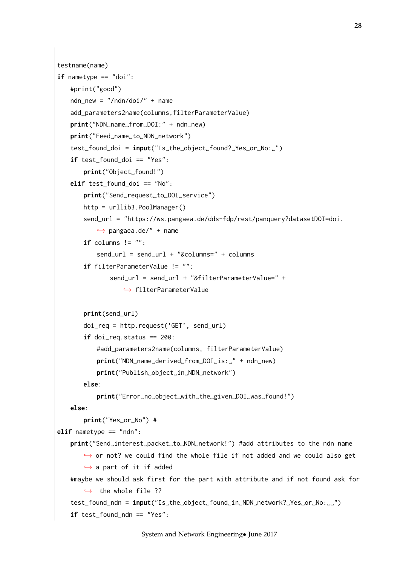```
testname(name)
if nametype == "doi":
   #print("good")
   ndn_new = "/ndn/doi/" + nameadd_parameters2name(columns,filterParameterValue)
   print("NDN␣name␣from␣DOI:" + ndn_new)
   print("Feed␣name␣to␣NDN␣network")
   test_found_doi = input("Is␣the␣object␣found?␣Yes␣or␣No:␣")
   if test found doi == "Yes":
       print("Object␣found!")
   elif test found doi == "No":
       print("Send␣request␣to␣DOI␣service")
       http = urllib3.PoolManager()
       send_url = "https://ws.pangaea.de/dds-fdp/rest/panquery?datasetDOI=doi.
           \rightarrow pangaea.de/" + name
       if columns != "":send url = send url + "&columns=" + columns"if filterParameterValue != "":
               send url = send url + "&filterParameterValue=" +\hookrightarrow filterParameterValue
       print(send_url)
       doi_req = http.request('GET', send_url)
       if doi_req.status == 200:
           #add_parameters2name(columns, filterParameterValue)
           print("NDN␣name␣derived␣from␣DOI␣is:␣" + ndn_new)
           print("Publish␣object␣in␣NDN␣network")
       else:
           print("Error␣no␣object␣with␣the␣given␣DOI␣was␣found!")
   else:
       print("Yes␣or␣No") #
elif nametype == "ndn":
   print("Send␣interest␣packet␣to␣NDN␣network!") #add attributes to the ndn name
       \rightarrow or not? we could find the whole file if not added and we could also get
       \hookrightarrow a part of it if added
   #maybe we should ask first for the part with attribute and if not found ask for
       \rightarrow the whole file ??
   test_found_ndn = input("Is␣the␣object␣found␣in␣NDN␣network?␣Yes␣or␣No:␣␣")
   if test found ndn == "Yes":
```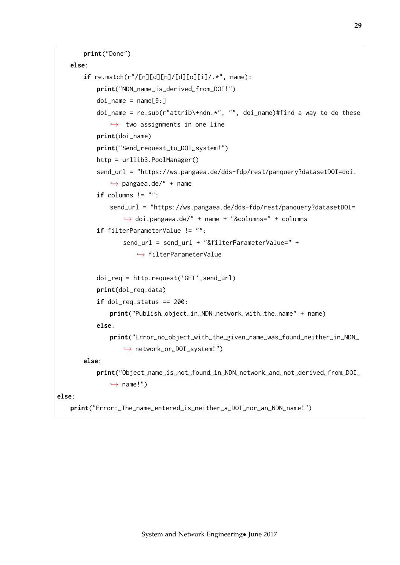```
print("Done")
   else:
       if re.match(r"/[n][d][n]/[d][o][i]/.*", name):
           print("NDN␣name␣is␣derived␣from␣DOI!")
           doi_name = name[9:1]doi_name = re.sub(r"attribute) + ndn.*", "", doi_name) #find a way to do these\leftrightarrow two assignments in one line
           print(doi_name)
           print("Send␣request␣to␣DOI␣system!")
           http = urllib3.PoolManager()
           send_url = "https://ws.pangaea.de/dds-fdp/rest/panquery?datasetDOI=doi.
               \rightarrow pangaea.de/" + name
           if columns != "":
               send_url = "https://ws.pangaea.de/dds-fdp/rest/panquery?datasetDOI=
                   ,→ doi.pangaea.de/" + name + "&columns=" + columns
           if filterParameterValue != "":
                   send_url = send_url + "&filterParameterValue=" +
                      \leftrightarrow filterParameterValue
           doi_req = http.request('GET',send_url)
           print(doi_req.data)
           if doi_req.status == 200:
               print("Publish␣object␣in␣NDN␣network␣with␣the␣name" + name)
           else:
               print("Error␣no␣object␣with␣the␣given␣name␣was␣found␣neither␣in␣NDN␣
                   ,→ network␣or␣DOI␣system!")
       else:
           print("Object␣name␣is␣not␣found␣in␣NDN␣network␣and␣not␣derived␣from␣DOI␣
               \hookrightarrow name!")
else:
   print("Error:␣The␣name␣entered␣is␣neither␣a␣DOI␣nor␣an␣NDN␣name!")
```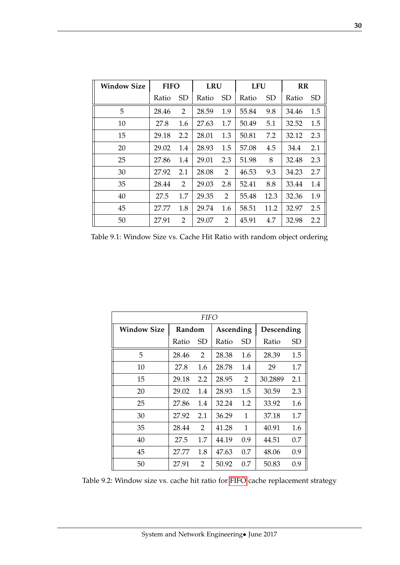<span id="page-32-0"></span>

| <b>Window Size</b> | <b>FIFO</b> |           | <b>LRU</b> |                       | <b>LFU</b> |           | RR    |           |
|--------------------|-------------|-----------|------------|-----------------------|------------|-----------|-------|-----------|
|                    | Ratio       | <b>SD</b> | Ratio      | SD                    | Ratio      | <b>SD</b> | Ratio | <b>SD</b> |
| 5                  | 28.46       | 2         | 28.59      | 1.9                   | 55.84      | 9.8       | 34.46 | 1.5       |
| 10                 | 27.8        | 1.6       | 27.63      | 1.7                   | 50.49      | 5.1       | 32.52 | 1.5       |
| 15                 | 29.18       | 2.2       | 28.01      | 1.3                   | 50.81      | 7.2       | 32.12 | 2.3       |
| 20                 | 29.02       | 1.4       | 28.93      | 1.5                   | 57.08      | 4.5       | 34.4  | 2.1       |
| 25                 | 27.86       | 1.4       | 29.01      | 2.3                   | 51.98      | 8         | 32.48 | 2.3       |
| 30                 | 27.92       | 2.1       | 28.08      | 2                     | 46.53      | 9.3       | 34.23 | 2.7       |
| 35                 | 28.44       | 2         | 29.03      | 2.8                   | 52.41      | 8.8       | 33.44 | 1.4       |
| 40                 | 27.5        | 1.7       | 29.35      | $\mathbf{2}^{\prime}$ | 55.48      | 12.3      | 32.36 | 1.9       |
| 45                 | 27.77       | 1.8       | 29.74      | 1.6                   | 58.51      | 11.2      | 32.97 | 2.5       |
| 50                 | 27.91       | 2         | 29.07      | 2                     | 45.91      | 4.7       | 32.98 | 2.2       |

Table 9.1: Window Size vs. Cache Hit Ratio with random object ordering

| <i>FIFO</i>        |        |     |           |     |            |     |  |  |  |  |
|--------------------|--------|-----|-----------|-----|------------|-----|--|--|--|--|
| <b>Window Size</b> | Random |     | Ascending |     | Descending |     |  |  |  |  |
|                    | Ratio  | SD  | Ratio     | SD  | Ratio      | SD  |  |  |  |  |
| 5                  | 28.46  | 2   | 28.38     | 1.6 | 28.39      | 1.5 |  |  |  |  |
| 10                 | 27.8   | 1.6 | 28.78     | 1.4 | 29         | 1.7 |  |  |  |  |
| 15                 | 29.18  | 2.2 | 28.95     | 2   | 30.2889    | 2.1 |  |  |  |  |
| 20                 | 29.02  | 1.4 | 28.93     | 1.5 | 30.59      | 2.3 |  |  |  |  |
| 25                 | 27.86  | 1.4 | 32.24     | 1.2 | 33.92      | 1.6 |  |  |  |  |
| 30                 | 27.92  | 2.1 | 36.29     | 1   | 37.18      | 1.7 |  |  |  |  |
| 35                 | 28.44  | 2   | 41.28     | 1   | 40.91      | 1.6 |  |  |  |  |
| 40                 | 27.5   | 1.7 | 44.19     | 0.9 | 44.51      | 0.7 |  |  |  |  |
| 45                 | 27.77  | 1.8 | 47.63     | 0.7 | 48.06      | 0.9 |  |  |  |  |
| 50                 | 27.91  | 2   | 50.92     | 0.7 | 50.83      | 0.9 |  |  |  |  |

Table 9.2: Window size vs. cache hit ratio for [FIFO](#page-5-6) cache replacement strategy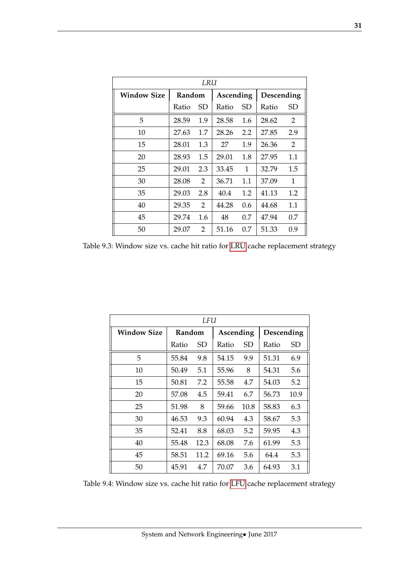<span id="page-33-0"></span>

| LRU                |        |     |           |     |            |              |  |  |  |  |
|--------------------|--------|-----|-----------|-----|------------|--------------|--|--|--|--|
| <b>Window Size</b> | Random |     | Ascending |     | Descending |              |  |  |  |  |
|                    | Ratio  | SD  | Ratio     | SD  | Ratio      | SD           |  |  |  |  |
| 5                  | 28.59  | 1.9 | 28.58     | 1.6 | 28.62      | 2            |  |  |  |  |
| 10                 | 27.63  | 1.7 | 28.26     | 2.2 | 27.85      | 2.9          |  |  |  |  |
| 15                 | 28.01  | 1.3 | 27        | 1.9 | 26.36      | 2            |  |  |  |  |
| 20                 | 28.93  | 1.5 | 29.01     | 1.8 | 27.95      | 1.1          |  |  |  |  |
| 25                 | 29.01  | 2.3 | 33.45     | 1   | 32.79      | 1.5          |  |  |  |  |
| 30                 | 28.08  | 2   | 36.71     | 1.1 | 37.09      | $\mathbf{1}$ |  |  |  |  |
| 35                 | 29.03  | 2.8 | 40.4      | 1.2 | 41.13      | 1.2          |  |  |  |  |
| 40                 | 29.35  | 2   | 44.28     | 0.6 | 44.68      | 1.1          |  |  |  |  |
| 45                 | 29.74  | 1.6 | 48        | 0.7 | 47.94      | 0.7          |  |  |  |  |
| 50                 | 29.07  | 2   | 51.16     | 0.7 | 51.33      | 0.9          |  |  |  |  |

Table 9.3: Window size vs. cache hit ratio for [LRU](#page-5-7) cache replacement strategy

| LFU                |        |      |           |      |            |      |  |  |  |
|--------------------|--------|------|-----------|------|------------|------|--|--|--|
| <b>Window Size</b> | Random |      | Ascending |      | Descending |      |  |  |  |
|                    | Ratio  | SD.  | Ratio     | SD   | Ratio      | SD   |  |  |  |
| 5                  | 55.84  | 9.8  | 54.15     | 9.9  | 51.31      | 6.9  |  |  |  |
| 10                 | 50.49  | 5.1  | 55.96     | 8    | 54.31      | 5.6  |  |  |  |
| 15                 | 50.81  | 7.2  | 55.58     | 4.7  | 54.03      | 5.2  |  |  |  |
| 20                 | 57.08  | 4.5  | 59.41     | 6.7  | 56.73      | 10.9 |  |  |  |
| 25                 | 51.98  | 8    | 59.66     | 10.8 | 58.83      | 6.3  |  |  |  |
| 30                 | 46.53  | 9.3  | 60.94     | 4.3  | 58.67      | 5.3  |  |  |  |
| 35                 | 52.41  | 8.8  | 68.03     | 5.2  | 59.95      | 4.3  |  |  |  |
| 40                 | 55.48  | 12.3 | 68.08     | 7.6  | 61.99      | 5.3  |  |  |  |
| 45                 | 58.51  | 11.2 | 69.16     | 5.6  | 64.4       | 5.3  |  |  |  |
| 50                 | 45.91  | 4.7  | 70.07     | 3.6  | 64.93      | 3.1  |  |  |  |

Table 9.4: Window size vs. cache hit ratio for [LFU](#page-5-5) cache replacement strategy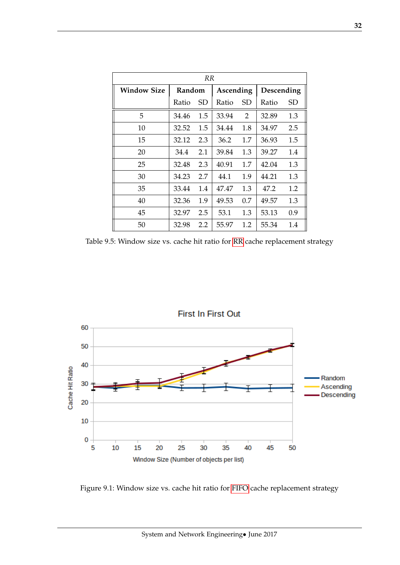<span id="page-34-1"></span>

| <b>RR</b>          |        |     |           |     |            |     |  |  |  |
|--------------------|--------|-----|-----------|-----|------------|-----|--|--|--|
| <b>Window Size</b> | Random |     | Ascending |     | Descending |     |  |  |  |
|                    | Ratio  | SD  | Ratio     | SD  | Ratio      | SD  |  |  |  |
| 5                  | 34.46  | 1.5 | 33.94     | 2   | 32.89      | 1.3 |  |  |  |
| 10                 | 32.52  | 1.5 | 34.44     | 1.8 | 34.97      | 2.5 |  |  |  |
| 15                 | 32.12  | 2.3 | 36.2      | 1.7 | 36.93      | 1.5 |  |  |  |
| 20                 | 34.4   | 2.1 | 39.84     | 1.3 | 39.27      | 1.4 |  |  |  |
| 25                 | 32.48  | 2.3 | 40.91     | 1.7 | 42.04      | 1.3 |  |  |  |
| 30                 | 34.23  | 2.7 | 44.1      | 1.9 | 44.21      | 1.3 |  |  |  |
| 35                 | 33.44  | 1.4 | 47.47     | 1.3 | 47.2       | 1.2 |  |  |  |
| 40                 | 32.36  | 1.9 | 49.53     | 0.7 | 49.57      | 1.3 |  |  |  |
| 45                 | 32.97  | 2.5 | 53.1      | 1.3 | 53.13      | 0.9 |  |  |  |
| 50                 | 32.98  | 2.2 | 55.97     | 1.2 | 55.34      | 1.4 |  |  |  |

Table 9.5: Window size vs. cache hit ratio for [RR](#page-5-4) cache replacement strategy



<span id="page-34-0"></span>Figure 9.1: Window size vs. cache hit ratio for [FIFO](#page-5-6) cache replacement strategy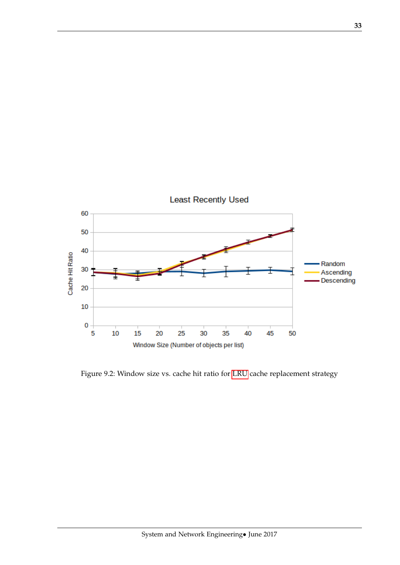<span id="page-35-1"></span>

<span id="page-35-0"></span>Figure 9.2: Window size vs. cache hit ratio for [LRU](#page-5-7) cache replacement strategy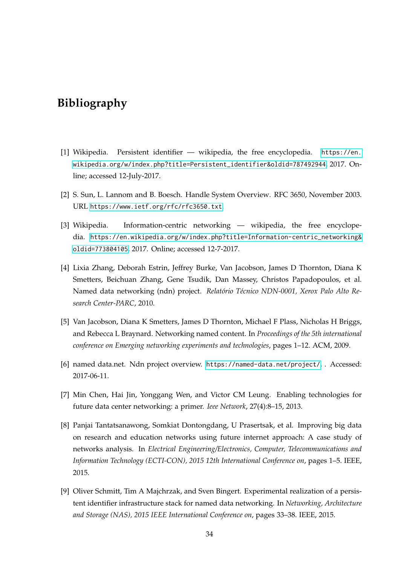## <span id="page-36-0"></span>**Bibliography**

- <span id="page-36-1"></span>[1] Wikipedia. Persistent identifier — wikipedia, the free encyclopedia. [https://en.](https://en.wikipedia.org/w/index.php?title=Persistent_identifier&oldid=787492944) [wikipedia.org/w/index.php?title=Persistent\\_identifier&oldid=787492944](https://en.wikipedia.org/w/index.php?title=Persistent_identifier&oldid=787492944), 2017. Online; accessed 12-July-2017.
- <span id="page-36-2"></span>[2] S. Sun, L. Lannom and B. Boesch. Handle System Overview. RFC 3650, November 2003. URL <https://www.ietf.org/rfc/rfc3650.txt>.
- <span id="page-36-3"></span>[3] Wikipedia. Information-centric networking — wikipedia, the free encyclopedia. [https://en.wikipedia.org/w/index.php?title=Information-centric\\_networking&](https://en.wikipedia.org/w/index.php?title=Information-centric_networking&oldid=773804105) [oldid=773804105](https://en.wikipedia.org/w/index.php?title=Information-centric_networking&oldid=773804105), 2017. Online; accessed 12-7-2017.
- <span id="page-36-4"></span>[4] Lixia Zhang, Deborah Estrin, Jeffrey Burke, Van Jacobson, James D Thornton, Diana K Smetters, Beichuan Zhang, Gene Tsudik, Dan Massey, Christos Papadopoulos, et al. Named data networking (ndn) project. *Relatório Técnico NDN-0001, Xerox Palo Alto Research Center-PARC*, 2010.
- <span id="page-36-5"></span>[5] Van Jacobson, Diana K Smetters, James D Thornton, Michael F Plass, Nicholas H Briggs, and Rebecca L Braynard. Networking named content. In *Proceedings of the 5th international conference on Emerging networking experiments and technologies*, pages 1–12. ACM, 2009.
- <span id="page-36-6"></span>[6] named data.net. Ndn project overview. <https://named-data.net/project/>, . Accessed: 2017-06-11.
- <span id="page-36-7"></span>[7] Min Chen, Hai Jin, Yonggang Wen, and Victor CM Leung. Enabling technologies for future data center networking: a primer. *Ieee Network*, 27(4):8–15, 2013.
- <span id="page-36-8"></span>[8] Panjai Tantatsanawong, Somkiat Dontongdang, U Prasertsak, et al. Improving big data on research and education networks using future internet approach: A case study of networks analysis. In *Electrical Engineering/Electronics, Computer, Telecommunications and Information Technology (ECTI-CON), 2015 12th International Conference on*, pages 1–5. IEEE, 2015.
- <span id="page-36-9"></span>[9] Oliver Schmitt, Tim A Majchrzak, and Sven Bingert. Experimental realization of a persistent identifier infrastructure stack for named data networking. In *Networking, Architecture and Storage (NAS), 2015 IEEE International Conference on*, pages 33–38. IEEE, 2015.